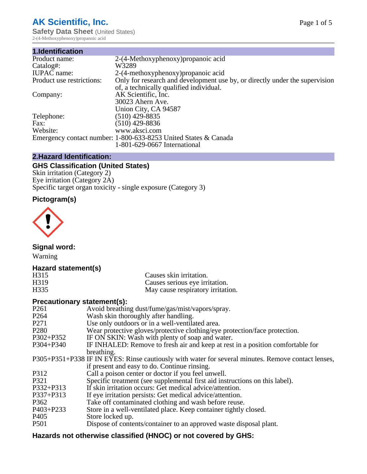# **AK Scientific, Inc.**

**Safety Data Sheet (United States)** 2-(4-Methoxyphenoxy)propanoic acid

| 1.Identification          |                                                                             |
|---------------------------|-----------------------------------------------------------------------------|
| Product name:             | 2-(4-Methoxyphenoxy) propanoic acid                                         |
| Catalog#:                 | W3289                                                                       |
| <b>IUPAC</b> name:        | 2-(4-methoxyphenoxy) propanoic acid                                         |
| Product use restrictions: | Only for research and development use by, or directly under the supervision |
|                           | of, a technically qualified individual.                                     |
| Company:                  | AK Scientific, Inc.                                                         |
|                           | 30023 Ahern Ave.                                                            |
|                           | Union City, CA 94587                                                        |
| Telephone:                | $(510)$ 429-8835                                                            |
| Fax:                      | $(510)$ 429-8836                                                            |
| Website:                  | www.aksci.com                                                               |
|                           | Emergency contact number: 1-800-633-8253 United States & Canada             |
|                           | 1-801-629-0667 International                                                |

# **2.Hazard Identification:**

# **GHS Classification (United States)**

Skin irritation (Category 2) Eye irritation (Category 2A) Specific target organ toxicity - single exposure (Category 3)

# **Pictogram(s)**



**Signal word:**

Warning

## **Hazard statement(s)**

| H315 | Causes skin irritation.           |
|------|-----------------------------------|
| H319 | Causes serious eye irritation.    |
| H335 | May cause respiratory irritation. |

# **Precautionary statement(s):**

| P <sub>261</sub> | Avoid breathing dust/fume/gas/mist/vapors/spray.                                                   |
|------------------|----------------------------------------------------------------------------------------------------|
| P <sub>264</sub> | Wash skin thoroughly after handling.                                                               |
| P <sub>271</sub> | Use only outdoors or in a well-ventilated area.                                                    |
| P <sub>280</sub> | Wear protective gloves/protective clothing/eye protection/face protection.                         |
| P302+P352        | IF ON SKIN: Wash with plenty of soap and water.                                                    |
| $P304 + P340$    | IF INHALED: Remove to fresh air and keep at rest in a position comfortable for                     |
|                  | breathing.                                                                                         |
|                  | P305+P351+P338 IF IN EYES: Rinse cautiously with water for several minutes. Remove contact lenses, |
|                  | if present and easy to do. Continue rinsing.                                                       |
| P312             | Call a poison center or doctor if you feel unwell.                                                 |
| P321             | Specific treatment (see supplemental first aid instructions on this label).                        |
| P332+P313        | If skin irritation occurs: Get medical advice/attention.                                           |
| P337+P313        | If eye irritation persists: Get medical advice/attention.                                          |
| P362             | Take off contaminated clothing and wash before reuse.                                              |
| P403+P233        | Store in a well-ventilated place. Keep container tightly closed.                                   |
| P <sub>405</sub> | Store locked up.                                                                                   |
| P <sub>501</sub> | Dispose of contents/container to an approved waste disposal plant.                                 |
|                  |                                                                                                    |

# **Hazards not otherwise classified (HNOC) or not covered by GHS:**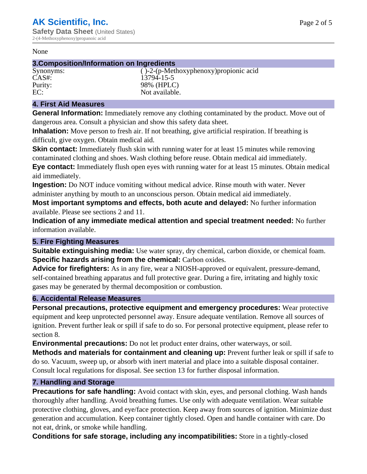#### None

### **3.Composition/Information on Ingredients**

Synonyms: ( $\angle$ -2-(p-Methoxyphenoxy)propionic acid CAS#: 13794-15-5 Purity: 98% (HPLC)<br>EC: Not available. Not available.

## **4. First Aid Measures**

**General Information:** Immediately remove any clothing contaminated by the product. Move out of dangerous area. Consult a physician and show this safety data sheet.

**Inhalation:** Move person to fresh air. If not breathing, give artificial respiration. If breathing is difficult, give oxygen. Obtain medical aid.

**Skin contact:** Immediately flush skin with running water for at least 15 minutes while removing contaminated clothing and shoes. Wash clothing before reuse. Obtain medical aid immediately. **Eye contact:** Immediately flush open eyes with running water for at least 15 minutes. Obtain medical

aid immediately.

**Ingestion:** Do NOT induce vomiting without medical advice. Rinse mouth with water. Never administer anything by mouth to an unconscious person. Obtain medical aid immediately.

**Most important symptoms and effects, both acute and delayed:** No further information available. Please see sections 2 and 11.

**Indication of any immediate medical attention and special treatment needed:** No further information available.

## **5. Fire Fighting Measures**

**Suitable extinguishing media:** Use water spray, dry chemical, carbon dioxide, or chemical foam. **Specific hazards arising from the chemical:** Carbon oxides.

**Advice for firefighters:** As in any fire, wear a NIOSH-approved or equivalent, pressure-demand, self-contained breathing apparatus and full protective gear. During a fire, irritating and highly toxic gases may be generated by thermal decomposition or combustion.

## **6. Accidental Release Measures**

**Personal precautions, protective equipment and emergency procedures:** Wear protective equipment and keep unprotected personnel away. Ensure adequate ventilation. Remove all sources of ignition. Prevent further leak or spill if safe to do so. For personal protective equipment, please refer to section 8.

**Environmental precautions:** Do not let product enter drains, other waterways, or soil.

**Methods and materials for containment and cleaning up:** Prevent further leak or spill if safe to do so. Vacuum, sweep up, or absorb with inert material and place into a suitable disposal container. Consult local regulations for disposal. See section 13 for further disposal information.

## **7. Handling and Storage**

**Precautions for safe handling:** Avoid contact with skin, eyes, and personal clothing. Wash hands thoroughly after handling. Avoid breathing fumes. Use only with adequate ventilation. Wear suitable protective clothing, gloves, and eye/face protection. Keep away from sources of ignition. Minimize dust generation and accumulation. Keep container tightly closed. Open and handle container with care. Do not eat, drink, or smoke while handling.

**Conditions for safe storage, including any incompatibilities:** Store in a tightly-closed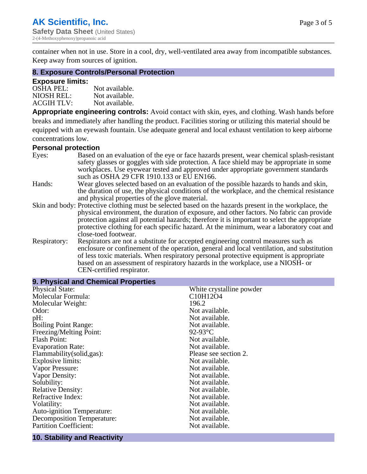container when not in use. Store in a cool, dry, well-ventilated area away from incompatible substances. Keep away from sources of ignition.

#### **8. Exposure Controls/Personal Protection**

#### **Exposure limits:**

| <b>OSHA PEL:</b>  | Not available. |
|-------------------|----------------|
| NIOSH REL:        | Not available. |
| <b>ACGIH TLV:</b> | Not available. |

**Appropriate engineering controls:** Avoid contact with skin, eyes, and clothing. Wash hands before breaks and immediately after handling the product. Facilities storing or utilizing this material should be equipped with an eyewash fountain. Use adequate general and local exhaust ventilation to keep airborne concentrations low.

#### **Personal protection**

| Eyes:        | Based on an evaluation of the eye or face hazards present, wear chemical splash-resistant<br>safety glasses or goggles with side protection. A face shield may be appropriate in some |
|--------------|---------------------------------------------------------------------------------------------------------------------------------------------------------------------------------------|
|              | workplaces. Use eyewear tested and approved under appropriate government standards<br>such as OSHA 29 CFR 1910.133 or EU EN166.                                                       |
| Hands:       | Wear gloves selected based on an evaluation of the possible hazards to hands and skin,                                                                                                |
|              | the duration of use, the physical conditions of the workplace, and the chemical resistance                                                                                            |
|              | and physical properties of the glove material.                                                                                                                                        |
|              | Skin and body: Protective clothing must be selected based on the hazards present in the workplace, the                                                                                |
|              | physical environment, the duration of exposure, and other factors. No fabric can provide                                                                                              |
|              | protection against all potential hazards; therefore it is important to select the appropriate                                                                                         |
|              | protective clothing for each specific hazard. At the minimum, wear a laboratory coat and                                                                                              |
|              | close-toed footwear.                                                                                                                                                                  |
| Respiratory: | Respirators are not a substitute for accepted engineering control measures such as<br>enclosure or confinement of the operation, general and local ventilation, and substitution      |
|              | of less toxic materials. When respiratory personal protective equipment is appropriate                                                                                                |
|              |                                                                                                                                                                                       |
|              | based on an assessment of respiratory hazards in the workplace, use a NIOSH- or                                                                                                       |
|              | CEN-certified respirator.                                                                                                                                                             |

| 9. Physical and Chemical Properties |                            |  |  |
|-------------------------------------|----------------------------|--|--|
| <b>Physical State:</b>              | White crystalline powder   |  |  |
| Molecular Formula:                  | C10H12O4                   |  |  |
| Molecular Weight:                   | 196.2                      |  |  |
| Odor:                               | Not available.             |  |  |
| pH:                                 | Not available.             |  |  |
| <b>Boiling Point Range:</b>         | Not available.             |  |  |
| Freezing/Melting Point:             | 92-93 $\mathrm{^{\circ}C}$ |  |  |
| <b>Flash Point:</b>                 | Not available.             |  |  |
| <b>Evaporation Rate:</b>            | Not available.             |  |  |
| Flammability(solid,gas):            | Please see section 2.      |  |  |
| <b>Explosive limits:</b>            | Not available.             |  |  |
| Vapor Pressure:                     | Not available.             |  |  |
| Vapor Density:                      | Not available.             |  |  |
| Solubility:                         | Not available.             |  |  |
| <b>Relative Density:</b>            | Not available.             |  |  |
| Refractive Index:                   | Not available.             |  |  |
| Volatility:                         | Not available.             |  |  |
| <b>Auto-ignition Temperature:</b>   | Not available.             |  |  |
| <b>Decomposition Temperature:</b>   | Not available.             |  |  |
| <b>Partition Coefficient:</b>       | Not available.             |  |  |

# **10. Stability and Reactivity**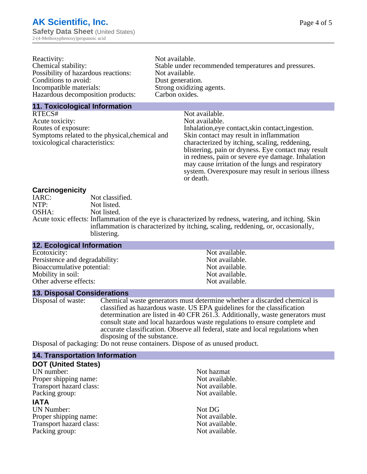| Reactivity:                         | Not available.                                       |
|-------------------------------------|------------------------------------------------------|
| Chemical stability:                 | Stable under recommended temperatures and pressures. |
| Possibility of hazardous reactions: | Not available.                                       |
| Conditions to avoid:                | Dust generation.                                     |
| Incompatible materials:             | Strong oxidizing agents.                             |
| Hazardous decomposition products:   | Carbon oxides.                                       |
|                                     |                                                      |

#### **11. Toxicological Information**

| Not available.                                      |
|-----------------------------------------------------|
| Not available.                                      |
| Inhalation, eye contact, skin contact, ingestion.   |
| Skin contact may result in inflammation             |
| characterized by itching, scaling, reddening,       |
| blistering, pain or dryness. Eye contact may result |
| in redness, pain or severe eye damage. Inhalation   |
| may cause irritation of the lungs and respiratory   |
| system. Overexposure may result in serious illness  |
|                                                     |

or death.

#### **Carcinogenicity**

| IARC: | Not classified.                                                                                       |
|-------|-------------------------------------------------------------------------------------------------------|
| NTP:  | Not listed.                                                                                           |
| OSHA: | Not listed.                                                                                           |
|       | Acute toxic effects: Inflammation of the eye is characterized by redness, watering, and itching. Skin |
|       | inflammation is characterized by itching, scaling, reddening, or, occasionally,                       |
|       | blistering.                                                                                           |

| 12. Ecological Information     |                |
|--------------------------------|----------------|
| Ecotoxicity:                   | Not available. |
| Persistence and degradability: | Not available. |
| Bioaccumulative potential:     | Not available. |
| Mobility in soil:              | Not available. |
| Other adverse effects:         | Not available. |

# **13. Disposal Considerations**

Disposal of waste: Chemical waste generators must determine whether a discarded chemical is classified as hazardous waste. US EPA guidelines for the classification determination are listed in 40 CFR 261.3. Additionally, waste generators must consult state and local hazardous waste regulations to ensure complete and accurate classification. Observe all federal, state and local regulations when disposing of the substance.

Disposal of packaging: Do not reuse containers. Dispose of as unused product.

| <b>14. Transportation Information</b> |                |  |
|---------------------------------------|----------------|--|
| <b>DOT (United States)</b>            |                |  |
| UN number:                            | Not hazmat     |  |
| Proper shipping name:                 | Not available. |  |
| Transport hazard class:               | Not available. |  |
| Packing group:                        | Not available. |  |
| <b>IATA</b>                           |                |  |
| <b>UN Number:</b>                     | Not DG         |  |
| Proper shipping name:                 | Not available. |  |
| Transport hazard class:               | Not available. |  |
| Packing group:                        | Not available. |  |